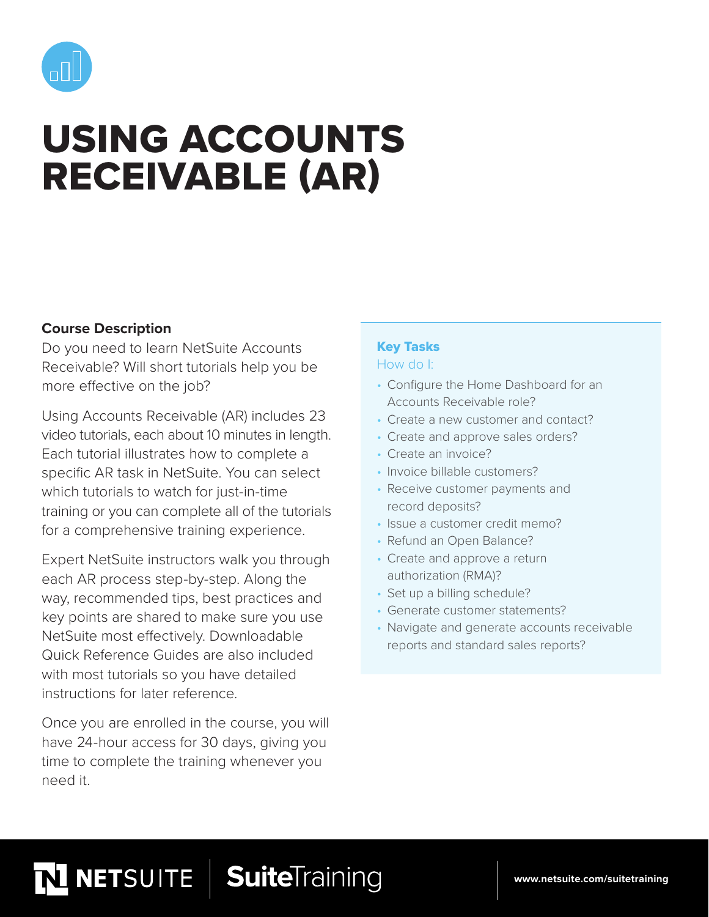

# USING ACCOUNTS RECEIVABLE (AR)

## **Course Description**

Do you need to learn NetSuite Accounts Receivable? Will short tutorials help you be more effective on the job?

Using Accounts Receivable (AR) includes 23 video tutorials, each about 10 minutes in length. Each tutorial illustrates how to complete a specific AR task in NetSuite. You can select which tutorials to watch for just-in-time training or you can complete all of the tutorials for a comprehensive training experience.

Expert NetSuite instructors walk you through each AR process step-by-step. Along the way, recommended tips, best practices and key points are shared to make sure you use NetSuite most effectively. Downloadable Quick Reference Guides are also included with most tutorials so you have detailed instructions for later reference.

Once you are enrolled in the course, you will have 24-hour access for 30 days, giving you time to complete the training whenever you need it.

# Key Tasks

#### How do I:

- Configure the Home Dashboard for an Accounts Receivable role?
- Create a new customer and contact?
- Create and approve sales orders?
- Create an invoice?
- Invoice billable customers?
- Receive customer payments and record deposits?
- Issue a customer credit memo?
- Refund an Open Balance?
- Create and approve a return authorization (RMA)?
- Set up a billing schedule?
- Generate customer statements?
- Navigate and generate accounts receivable reports and standard sales reports?

# SuiteTraining **NETSUITE**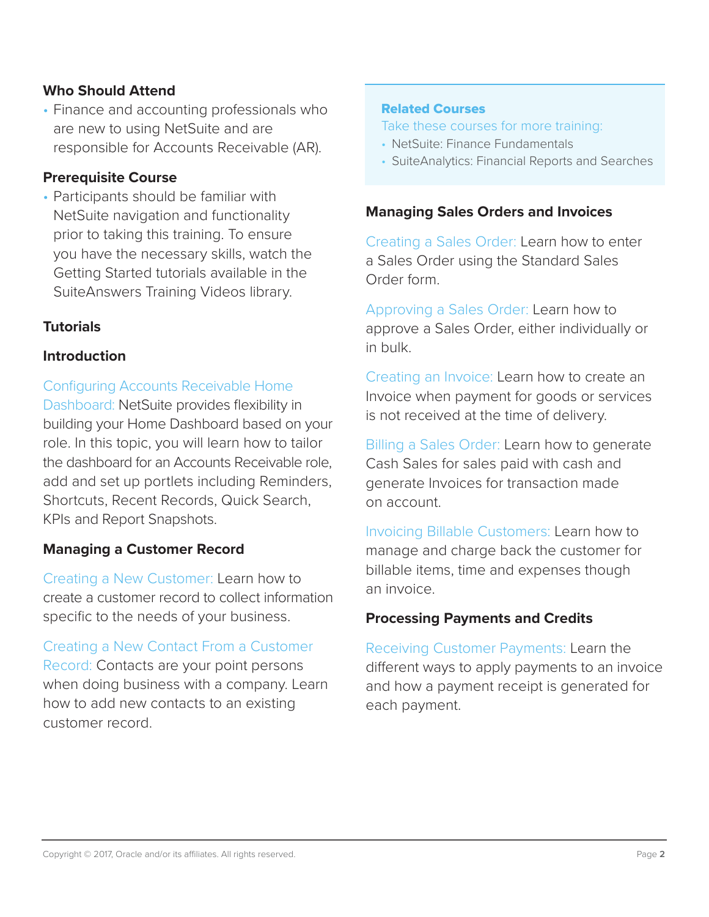## **Who Should Attend**

• Finance and accounting professionals who are new to using NetSuite and are responsible for Accounts Receivable (AR).

## **Prerequisite Course**

• Participants should be familiar with NetSuite navigation and functionality prior to taking this training. To ensure you have the necessary skills, watch the Getting Started tutorials available in the SuiteAnswers Training Videos library.

## **Tutorials**

## **Introduction**

Configuring Accounts Receivable Home Dashboard: NetSuite provides flexibility in building your Home Dashboard based on your role. In this topic, you will learn how to tailor the dashboard for an Accounts Receivable role, add and set up portlets including Reminders, Shortcuts, Recent Records, Quick Search, KPIs and Report Snapshots.

## **Managing a Customer Record**

Creating a New Customer: Learn how to create a customer record to collect information specific to the needs of your business.

Creating a New Contact From a Customer Record: Contacts are your point persons when doing business with a company. Learn how to add new contacts to an existing customer record.

## Related Courses

#### Take these courses for more training:

- NetSuite: Finance Fundamentals
- SuiteAnalytics: Financial Reports and Searches

#### **Managing Sales Orders and Invoices**

Creating a Sales Order: Learn how to enter a Sales Order using the Standard Sales Order form.

Approving a Sales Order: Learn how to approve a Sales Order, either individually or in bulk.

Creating an Invoice: Learn how to create an Invoice when payment for goods or services is not received at the time of delivery.

Billing a Sales Order: Learn how to generate Cash Sales for sales paid with cash and generate Invoices for transaction made on account.

Invoicing Billable Customers: Learn how to manage and charge back the customer for billable items, time and expenses though an invoice.

## **Processing Payments and Credits**

Receiving Customer Payments: Learn the different ways to apply payments to an invoice and how a payment receipt is generated for each payment.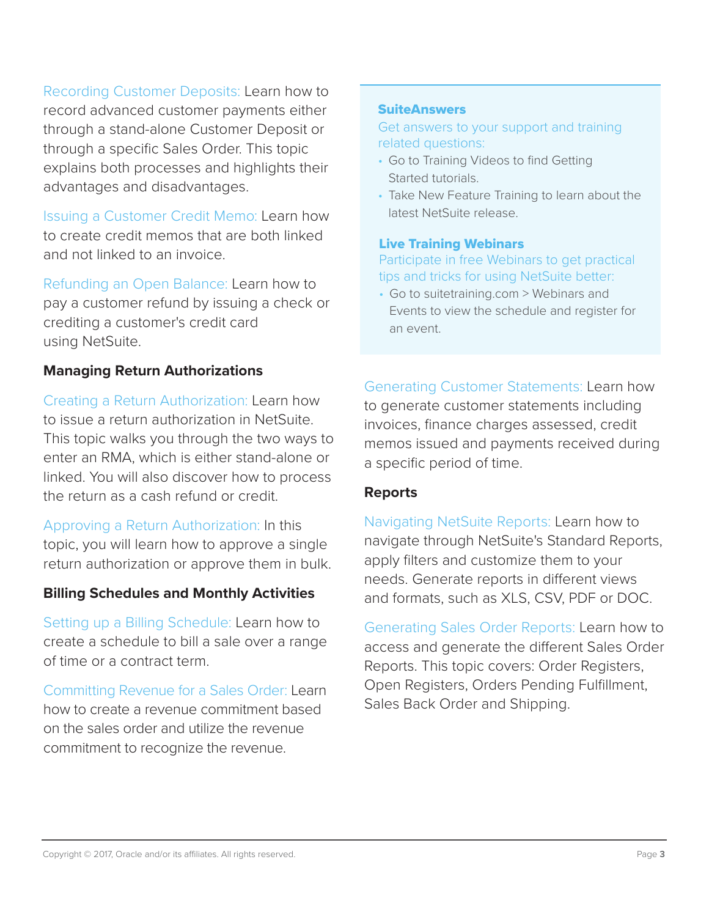Recording Customer Deposits: Learn how to record advanced customer payments either through a stand-alone Customer Deposit or through a specific Sales Order. This topic explains both processes and highlights their advantages and disadvantages.

Issuing a Customer Credit Memo: Learn how to create credit memos that are both linked and not linked to an invoice.

Refunding an Open Balance: Learn how to pay a customer refund by issuing a check or crediting a customer's credit card using NetSuite.

## **Managing Return Authorizations**

Creating a Return Authorization: Learn how to issue a return authorization in NetSuite. This topic walks you through the two ways to enter an RMA, which is either stand-alone or linked. You will also discover how to process the return as a cash refund or credit.

Approving a Return Authorization: In this topic, you will learn how to approve a single return authorization or approve them in bulk.

## **Billing Schedules and Monthly Activities**

Setting up a Billing Schedule: Learn how to create a schedule to bill a sale over a range of time or a contract term.

Committing Revenue for a Sales Order: Learn how to create a revenue commitment based on the sales order and utilize the revenue commitment to recognize the revenue.

#### **SuiteAnswers**

Get answers to your support and training related questions:

- Go to Training Videos to find Getting Started tutorials.
- Take New Feature Training to learn about the latest NetSuite release.

## Live Training Webinars

## Participate in free Webinars to get practical tips and tricks for using NetSuite better:

• Go to suitetraining.com > Webinars and Events to view the schedule and register for an event.

Generating Customer Statements: Learn how to generate customer statements including invoices, finance charges assessed, credit memos issued and payments received during a specific period of time.

## **Reports**

Navigating NetSuite Reports: Learn how to navigate through NetSuite's Standard Reports, apply filters and customize them to your needs. Generate reports in different views and formats, such as XLS, CSV, PDF or DOC.

Generating Sales Order Reports: Learn how to access and generate the different Sales Order Reports. This topic covers: Order Registers, Open Registers, Orders Pending Fulfillment, Sales Back Order and Shipping.